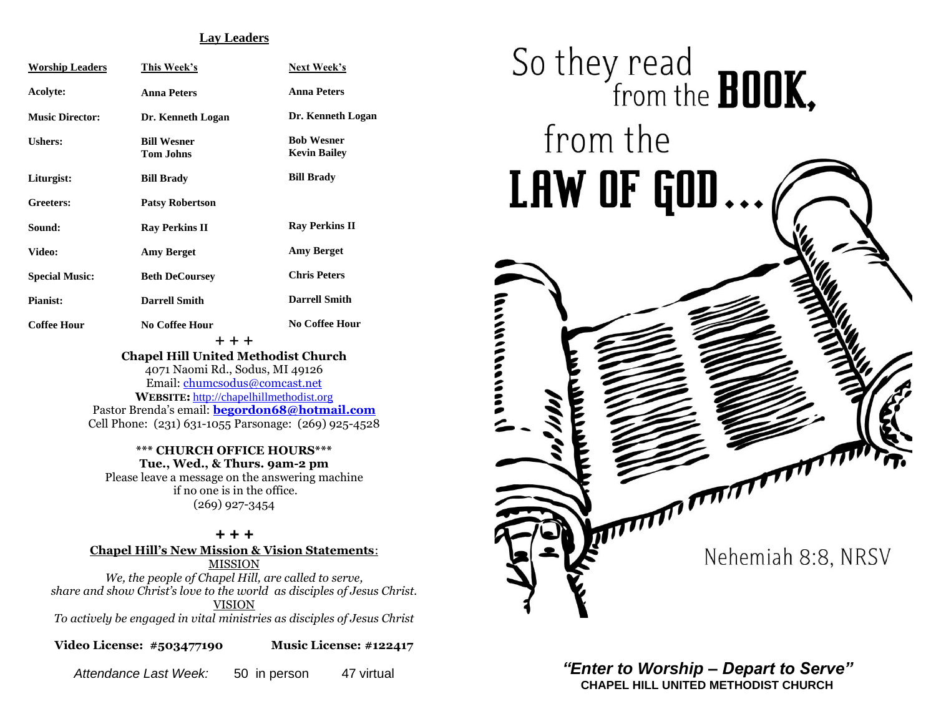### **Lay Leaders**

| <b>Worship Leaders</b> | This Week's                            | Next Week's                              |
|------------------------|----------------------------------------|------------------------------------------|
| Acolyte:               | <b>Anna Peters</b>                     | <b>Anna Peters</b>                       |
| <b>Music Director:</b> | Dr. Kenneth Logan                      | Dr. Kenneth Logan                        |
| <b>Ushers:</b>         | <b>Bill Wesner</b><br><b>Tom Johns</b> | <b>Bob Wesner</b><br><b>Kevin Bailey</b> |
| Liturgist:             | <b>Bill Brady</b>                      | <b>Bill Brady</b>                        |
| Greeters:              | <b>Patsy Robertson</b>                 |                                          |
| Sound:                 | <b>Ray Perkins II</b>                  | <b>Ray Perkins II</b>                    |
| Video:                 | <b>Amy Berget</b>                      | <b>Amy Berget</b>                        |
| <b>Special Music:</b>  | <b>Beth DeCoursey</b>                  | <b>Chris Peters</b>                      |
| <b>Pianist:</b>        | <b>Darrell Smith</b>                   | <b>Darrell Smith</b>                     |
| <b>Coffee Hour</b>     | No Coffee Hour                         | <b>No Coffee Hour</b>                    |
|                        |                                        |                                          |

+ + +

**Chapel Hill United Methodist Church**

4071 Naomi Rd., Sodus, MI 49126 Email: [chumcsodus@comcast.net](mailto:chumcsodus@comcast.net) **WEBSITE:** [http://chapelhillmethodist.org](http://chapelhillmethodist.org/) Pastor Brenda's email: **[begordon68@hotmail.com](mailto:begordon68@hotmail.com)** Cell Phone: (231) 631-1055 Parsonage: (269) 925-4528

**\*\*\* CHURCH OFFICE HOURS\*\*\* Tue., Wed., & Thurs. 9am-2 pm** Please leave a message on the answering machine if no one is in the office. (269) 927-3454

# *+ + +*

**Chapel Hill's New Mission & Vision Statements**: MISSION

*We, the people of Chapel Hill, are called to serve, share and show Christ's love to the world as disciples of Jesus Christ.* VISION

*To actively be engaged in vital ministries as disciples of Jesus Christ*

**Video License: #503477190 Music License: #122417**



*Attendance Last Week:* 50 in person 47 virtual *"Enter to Worship – Depart to Serve"* **CHAPEL HILL UNITED METHODIST CHURCH**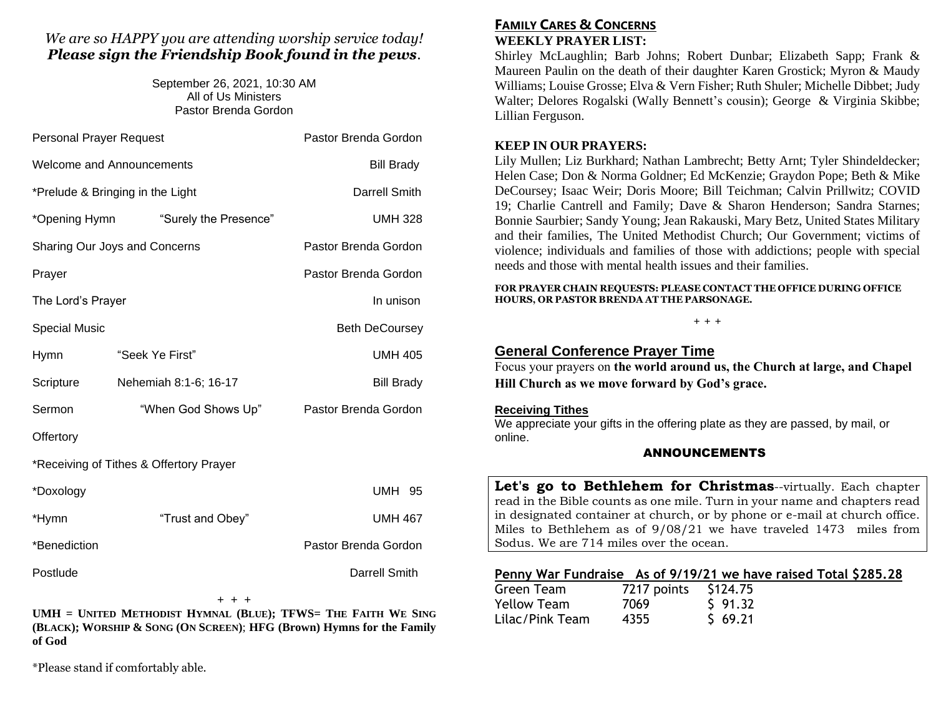# *We are so HAPPY you are attending worship service today! Please sign the Friendship Book found in the pews.*

September 26, 2021, 10:30 AM All of Us Ministers Pastor Brenda Gordon

| <b>Personal Prayer Request</b>          |                                  | Pastor Brenda Gordon  |  |  |
|-----------------------------------------|----------------------------------|-----------------------|--|--|
|                                         | <b>Welcome and Announcements</b> | <b>Bill Brady</b>     |  |  |
|                                         | *Prelude & Bringing in the Light | Darrell Smith         |  |  |
| *Opening Hymn                           | "Surely the Presence"            | <b>UMH 328</b>        |  |  |
| Sharing Our Joys and Concerns           |                                  | Pastor Brenda Gordon  |  |  |
| Prayer                                  |                                  | Pastor Brenda Gordon  |  |  |
| The Lord's Prayer                       |                                  | In unison             |  |  |
| <b>Special Music</b>                    |                                  | <b>Beth DeCoursey</b> |  |  |
| <b>Hymn</b>                             | "Seek Ye First"                  | <b>UMH 405</b>        |  |  |
| Scripture                               | Nehemiah 8:1-6; 16-17            | <b>Bill Brady</b>     |  |  |
| Sermon                                  | "When God Shows Up"              | Pastor Brenda Gordon  |  |  |
| Offertory                               |                                  |                       |  |  |
| *Receiving of Tithes & Offertory Prayer |                                  |                       |  |  |
| *Doxology                               |                                  | <b>UMH 95</b>         |  |  |
| *Hymn                                   | "Trust and Obey"                 | <b>UMH 467</b>        |  |  |
| *Benediction                            |                                  | Pastor Brenda Gordon  |  |  |
| Postlude                                |                                  | Darrell Smith         |  |  |

### + + +

**UMH = UNITED METHODIST HYMNAL (BLUE); TFWS= THE FAITH WE SING (BLACK); WORSHIP & SONG (ON SCREEN)**; **HFG (Brown) Hymns for the Family of God** 

\*Please stand if comfortably able.

## **FAMILY CARES & CONCERNS WEEKLY PRAYER LIST:**

Shirley McLaughlin; Barb Johns; Robert Dunbar; Elizabeth Sapp; Frank & Maureen Paulin on the death of their daughter Karen Grostick; Myron & Maudy Williams; Louise Grosse; Elva & Vern Fisher; Ruth Shuler; Michelle Dibbet; Judy Walter; Delores Rogalski (Wally Bennett's cousin); George & Virginia Skibbe; Lillian Ferguson.

## **KEEP IN OUR PRAYERS:**

Lily Mullen; Liz Burkhard; Nathan Lambrecht; Betty Arnt; Tyler Shindeldecker; Helen Case; Don & Norma Goldner; Ed McKenzie; Graydon Pope; Beth & Mike DeCoursey; Isaac Weir; Doris Moore; Bill Teichman; Calvin Prillwitz; COVID 19; Charlie Cantrell and Family; Dave & Sharon Henderson; Sandra Starnes; Bonnie Saurbier; Sandy Young; Jean Rakauski, Mary Betz, United States Military and their families, The United Methodist Church; Our Government; victims of violence; individuals and families of those with addictions; people with special needs and those with mental health issues and their families.

**FOR PRAYER CHAIN REQUESTS: PLEASE CONTACT THE OFFICE DURING OFFICE HOURS, OR PASTOR BRENDA AT THE PARSONAGE.**

#### **+ + +**

## **General Conference Prayer Time**

Focus your prayers on **the world around us, the Church at large, and Chapel Hill Church as we move forward by God's grace.**

### **Receiving Tithes**

We appreciate your gifts in the offering plate as they are passed, by mail, or online.

### ANNOUNCEMENTS

**Let's go to Bethlehem for Christmas**--virtually. Each chapter read in the Bible counts as one mile. Turn in your name and chapters read in designated container at church, or by phone or e-mail at church office. Miles to Bethlehem as of 9/08/21 we have traveled 1473 miles from Sodus. We are 714 miles over the ocean.

## **Penny War Fundraise As of 9/19/21 we have raised Total \$285.28**

| Green Team      | 7217 points | \$124.75 |
|-----------------|-------------|----------|
| Yellow Team     | 7069        | 591.32   |
| Lilac/Pink Team | 4355        | 569.21   |